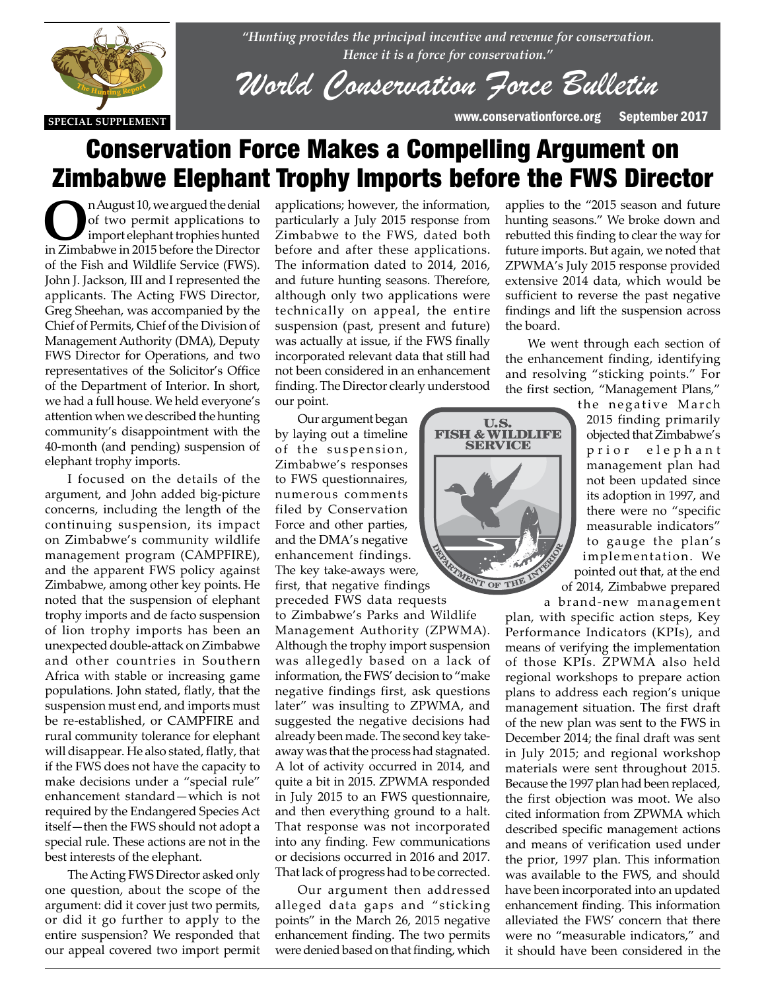

*"Hunting provides the principal incentive and revenue for conservation. Hence it is a force for conservation."*

*World Conservation Force Bulletin*

U.S.<br>FISH & WILDLIFE **SERVICE** 

VIEW OF THE

# Conservation Force Makes a Compelling Argument on Zimbabwe Elephant Trophy Imports before the FWS Director

**O**n August 10, we argued the denial of two permit applications to import elephant trophies hunted in Zimbabwe in 2015 before the Director of the Fish and Wildlife Service (FWS). John J. Jackson, III and I represented the applicants. The Acting FWS Director, Greg Sheehan, was accompanied by the Chief of Permits, Chief of the Division of Management Authority (DMA), Deputy FWS Director for Operations, and two representatives of the Solicitor's Office of the Department of Interior. In short, we had a full house. We held everyone's attention when we described the hunting attention when we described the hunting<br>community's disappointment with the 40-month (and pending) suspension of elephant trophy imports.

I focused on the details of the I focused on the details of the argument, and John added big-picture concerns, including the length of the continuing suspension, its impact on Zimbabwe's community wildlife management program (CAMPFIRE), and the apparent FWS policy against Zimbabwe, among other key points. He noted that the suspension of elephant trophy imports and de facto suspension of lion trophy imports has been an unexpected double-attack on Zimbabwe and other countries in Southern Africa with stable or increasing game populations. John stated, flatly, that the suspension must end, and imports must be re-established, or CAMPFIRE and rural community tolerance for elephant will disappear. He also stated, flatly, that if the FWS does not have the capacity to make decisions under a "special rule" enhancement standard—which is not required by the Endangered Species Act itself—then the FWS should not adopt a special rule. These actions are not in the best interests of the elephant.

> The Acting FWS Director asked only one question, about the scope of the argument: did it cover just two permits, or did it go further to apply to the entire suspension? We responded that our appeal covered two import permit

applications; however, the information, particularly a July 2015 response from Zimbabwe to the FWS, dated both before and after these applications. The information dated to 2014, 2016, and future hunting seasons. Therefore, although only two applications were technically on appeal, the entire suspension (past, present and future) was actually at issue, if the FWS finally incorporated relevant data that still had not been considered in an enhancement finding. The Director clearly understood our point.

Our argument began by laying out a timeline of the suspension, Zimbabwe's responses to FWS questionnaires, numerous comments filed by Conservation Force and other parties, and the DMA's negative enhancement findings. The key take-aways were, first, that negative findings

preceded FWS data requests to Zimbabwe's Parks and Wildlife Management Authority (ZPWMA). Although the trophy import suspension was allegedly based on a lack of information, the FWS' decision to "make negative findings first, ask questions later" was insulting to ZPWMA, and suggested the negative decisions had already been made. The second key takeaway was that the process had stagnated. A lot of activity occurred in 2014, and quite a bit in 2015. ZPWMA responded in July 2015 to an FWS questionnaire, and then everything ground to a halt. That response was not incorporated into any finding. Few communications or decisions occurred in 2016 and 2017. That lack of progress had to be corrected.

Our argument then addressed alleged data gaps and "sticking points" in the March 26, 2015 negative enhancement finding. The two permits were denied based on that finding, which

future imports. But again, we noted that ZPWMA's July 2015 response provided extensive 2014 data, which would be sufficient to reverse the past negative findings and lift the suspension across the board. We went through each section of

applies to the "2015 season and future hunting seasons." We broke down and rebutted this finding to clear the way for

the enhancement finding, identifying and resolving "sticking points." For the first section, "Management Plans,"

> the negative March 2015 finding primarily objected that Zimbabwe's prior elephant management plan had not been updated since its adoption in 1997, and there were no "specific measurable indicators" to gauge the plan's implementation. We pointed out that, at the end of 2014, Zimbabwe prepared

a brand-new management plan, with specific action steps, Key Performance Indicators (KPIs), and means of verifying the implementation of those KPIs. ZPWMA also held regional workshops to prepare action plans to address each region's unique management situation. The first draft of the new plan was sent to the FWS in December 2014; the final draft was sent in July 2015; and regional workshop materials were sent throughout 2015. Because the 1997 plan had been replaced, the first objection was moot. We also cited information from ZPWMA which described specific management actions and means of verification used under the prior, 1997 plan. This information was available to the FWS, and should have been incorporated into an updated enhancement finding. This information alleviated the FWS' concern that there were no "measurable indicators," and it should have been considered in the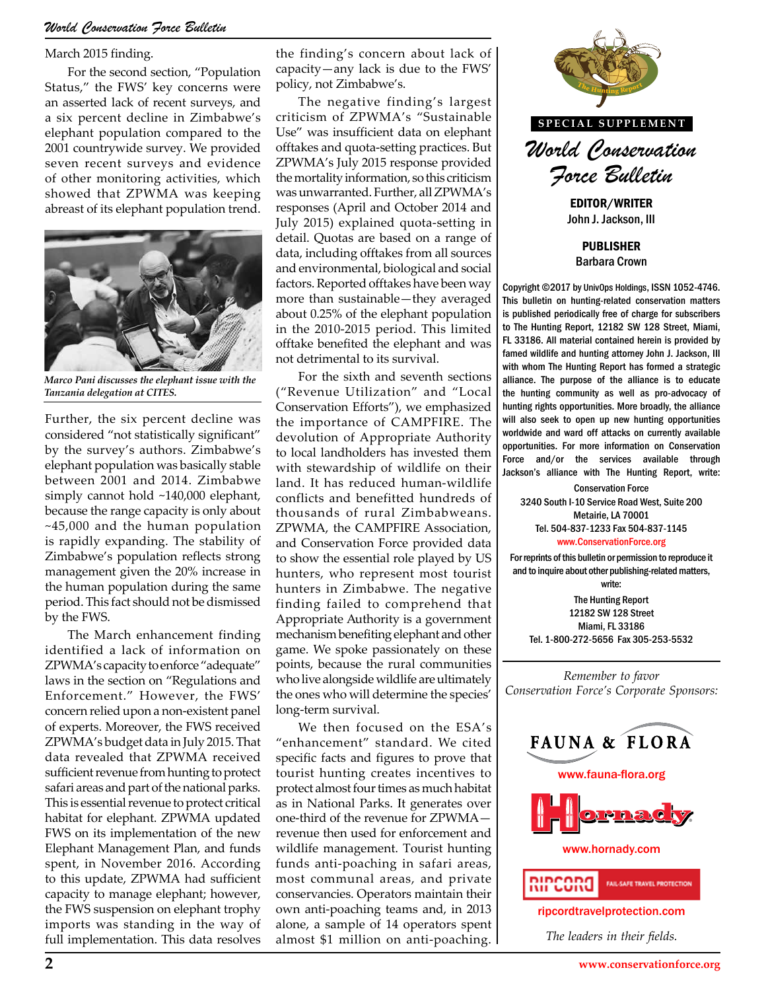#### *World Conservation Force Bulletin*

March 2015 finding.

For the second section, "Population Status," the FWS' key concerns were an asserted lack of recent surveys, and a six percent decline in Zimbabwe's elephant population compared to the 2001 countrywide survey. We provided seven recent surveys and evidence of other monitoring activities, which showed that ZPWMA was keeping abreast of its elephant population trend.



*Marco Pani discusses the elephant issue with the Tanzania delegation at CITES.*

Further, the six percent decline was considered "not statistically significant" by the survey's authors. Zimbabwe's elephant population was basically stable between 2001 and 2014. Zimbabwe simply cannot hold ~140,000 elephant, because the range capacity is only about ~45,000 and the human population is rapidly expanding. The stability of Zimbabwe's population reflects strong management given the 20% increase in the human population during the same period. This fact should not be dismissed by the FWS.

The March enhancement finding identified a lack of information on ZPWMA's capacity to enforce "adequate" laws in the section on "Regulations and Enforcement." However, the FWS' concern relied upon a non-existent panel of experts. Moreover, the FWS received ZPWMA's budget data in July 2015. That data revealed that ZPWMA received sufficient revenue from hunting to protect safari areas and part of the national parks. This is essential revenue to protect critical habitat for elephant. ZPWMA updated FWS on its implementation of the new Elephant Management Plan, and funds spent, in November 2016. According to this update, ZPWMA had sufficient capacity to manage elephant; however, the FWS suspension on elephant trophy imports was standing in the way of full implementation. This data resolves

the finding's concern about lack of capacity—any lack is due to the FWS' policy, not Zimbabwe's.

The negative finding's largest criticism of ZPWMA's "Sustainable Use" was insufficient data on elephant offtakes and quota-setting practices. But ZPWMA's July 2015 response provided the mortality information, so this criticism was unwarranted. Further, all ZPWMA's responses (April and October 2014 and July 2015) explained quota-setting in detail. Quotas are based on a range of data, including offtakes from all sources and environmental, biological and social factors. Reported offtakes have been way more than sustainable—they averaged about 0.25% of the elephant population in the 2010-2015 period. This limited offtake benefited the elephant and was not detrimental to its survival.

For the sixth and seventh sections ("Revenue Utilization" and "Local Conservation Efforts"), we emphasized the importance of CAMPFIRE. The devolution of Appropriate Authority to local landholders has invested them with stewardship of wildlife on their land. It has reduced human-wildlife conflicts and benefitted hundreds of thousands of rural Zimbabweans. ZPWMA, the CAMPFIRE Association, and Conservation Force provided data to show the essential role played by US hunters, who represent most tourist hunters in Zimbabwe. The negative finding failed to comprehend that Appropriate Authority is a government mechanism benefiting elephant and other game. We spoke passionately on these points, because the rural communities who live alongside wildlife are ultimately the ones who will determine the species' long-term survival.

We then focused on the ESA's "enhancement" standard. We cited specific facts and figures to prove that tourist hunting creates incentives to protect almost four times as much habitat as in National Parks. It generates over one-third of the revenue for ZPWMA revenue then used for enforcement and wildlife management. Tourist hunting funds anti-poaching in safari areas, most communal areas, and private conservancies. Operators maintain their own anti-poaching teams and, in 2013 alone, a sample of 14 operators spent almost \$1 million on anti-poaching.



*World Conservation Force Bulletin*

EDITOR/WRITER John J. Jackson, III

PUBLISHER Barbara Crown

Copyright ©2017 by UnivOps Holdings, ISSN 1052-4746. This bulletin on hunting-related conservation matters is published periodically free of charge for subscribers to The Hunting Report, 12182 SW 128 Street, Miami, FL 33186. All material contained herein is provided by famed wildlife and hunting attorney John J. Jackson, III with whom The Hunting Report has formed a strategic alliance. The purpose of the alliance is to educate the hunting community as well as pro-advocacy of and "Local the hunting community as well as pro-advocacy of<br>e emphasized hunting rights opportunities. More broadly, the alliance will also seek to open up new hunting opportunities worldwide and ward off attacks on currently available opportunities. For more information on Conservation rested them opportunities. For more information on conservation<br>diffe on their services available through<br>diffe on their lackers's elliance with The Hunting Benest with Jackson's alliance with The Hunting Report, write:

> Conservation Force 3240 South I-10 Service Road West, Suite 200 Metairie, LA 70001 Tel. 504-837-1233 Fax 504-837-1145 www.ConservationForce.org

For reprints of this bulletin or permission to reproduce it and to inquire about other publishing-related matters, write:

The Hunting Report 12182 SW 128 Street Miami, FL 33186 Tel. 1-800-272-5656 Fax 305-253-5532

*Remember to favor Conservation Force's Corporate Sponsors:*

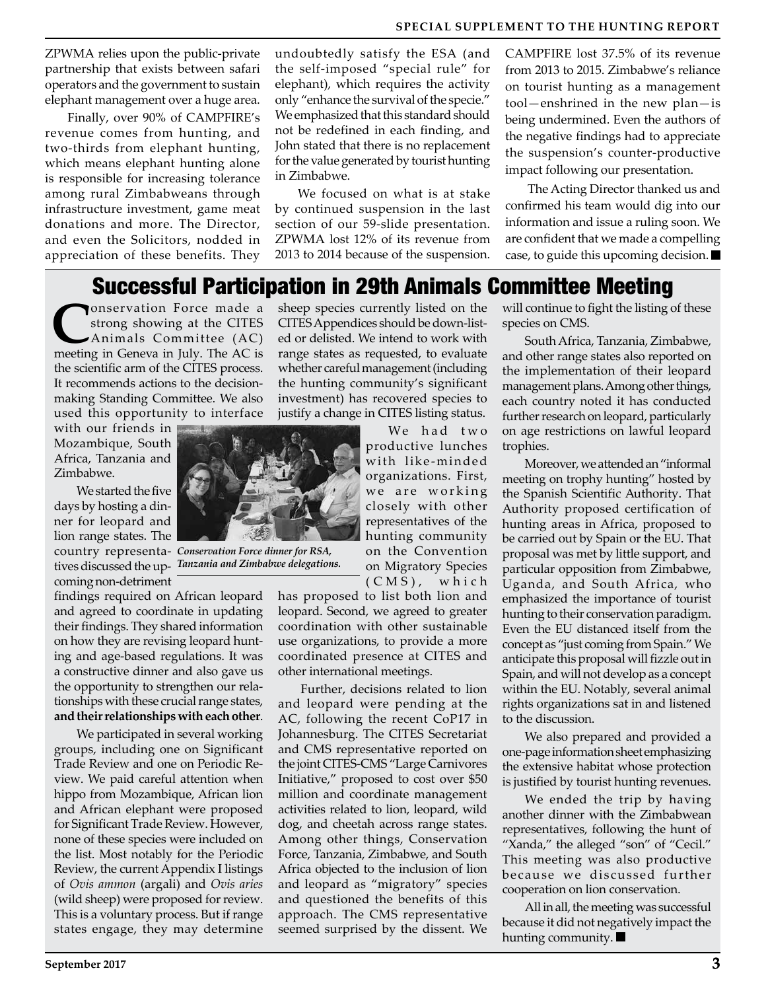ZPWMA relies upon the public-private partnership that exists between safari operators and the government to sustain elephant management over a huge area.

Finally, over 90% of CAMPFIRE's revenue comes from hunting, and two-thirds from elephant hunting, which means elephant hunting alone is responsible for increasing tolerance among rural Zimbabweans through infrastructure investment, game meat donations and more. The Director, and even the Solicitors, nodded in appreciation of these benefits. They

undoubtedly satisfy the ESA (and the self-imposed "special rule" for elephant), which requires the activity only "enhance the survival of the specie." We emphasized that this standard should not be redefined in each finding, and John stated that there is no replacement for the value generated by tourist hunting in Zimbabwe.

We focused on what is at stake by continued suspension in the last section of our 59-slide presentation. ZPWMA lost 12% of its revenue from 2013 to 2014 because of the suspension.

CAMPFIRE lost 37.5% of its revenue from 2013 to 2015. Zimbabwe's reliance on tourist hunting as a management tool—enshrined in the new plan—is being undermined. Even the authors of the negative findings had to appreciate the suspension's counter-productive impact following our presentation.

The Acting Director thanked us and confirmed his team would dig into our information and issue a ruling soon. We are confident that we made a compelling case, to guide this upcoming decision.

### Successful Participation in 29th Animals Committee Meeting

**CONSERVATION Force made a** strong showing at the CITES Animals Committee (AC) meeting in Geneva in July. The AC is the scientific arm of the CITES process. It recommends actions to the decisionmaking Standing Committee. We also used this opportunity to interface

with our friends in Mozambique, South Africa, Tanzania and Zimbabwe.

We started the five days by hosting a dinner for leopard and lion range states. The coming non-detriment

findings required on African leopard and agreed to coordinate in updating their findings. They shared information on how they are revising leopard hunting and age-based regulations. It was a constructive dinner and also gave us the opportunity to strengthen our relationships with these crucial range states, **and their relationships with each other**.

We participated in several working groups, including one on Significant Trade Review and one on Periodic Review. We paid careful attention when hippo from Mozambique, African lion and African elephant were proposed for Significant Trade Review. However, none of these species were included on the list. Most notably for the Periodic Review, the current Appendix I listings of *Ovis ammon* (argali) and *Ovis aries* (wild sheep) were proposed for review. This is a voluntary process. But if range states engage, they may determine

sheep species currently listed on the CITES Appendices should be down-listed or delisted. We intend to work with range states as requested, to evaluate whether careful management (including the hunting community's significant investment) has recovered species to justify a change in CITES listing status.

> We had two productive lunches with like-minded organizations. First, we are working closely with other representatives of the hunting community on the Convention on Migratory Species  $(CMS)$ , which

has proposed to list both lion and leopard. Second, we agreed to greater coordination with other sustainable use organizations, to provide a more coordinated presence at CITES and other international meetings.

Further, decisions related to lion and leopard were pending at the AC, following the recent CoP17 in Johannesburg. The CITES Secretariat and CMS representative reported on the joint CITES-CMS "Large Carnivores Initiative," proposed to cost over \$50 million and coordinate management activities related to lion, leopard, wild dog, and cheetah across range states. Among other things, Conservation Force, Tanzania, Zimbabwe, and South Africa objected to the inclusion of lion and leopard as "migratory" species and questioned the benefits of this approach. The CMS representative seemed surprised by the dissent. We

will continue to fight the listing of these species on CMS.

South Africa, Tanzania, Zimbabwe, and other range states also reported on the implementation of their leopard management plans. Among other things, each country noted it has conducted further research on leopard, particularly on age restrictions on lawful leopard trophies.

Moreover, we attended an "informal meeting on trophy hunting" hosted by the Spanish Scientific Authority. That Authority proposed certification of hunting areas in Africa, proposed to be carried out by Spain or the EU. That proposal was met by little support, and particular opposition from Zimbabwe, Uganda, and South Africa, who emphasized the importance of tourist hunting to their conservation paradigm. Even the EU distanced itself from the concept as "just coming from Spain." We anticipate this proposal will fizzle out in Spain, and will not develop as a concept within the EU. Notably, several animal rights organizations sat in and listened to the discussion.

We also prepared and provided a one-page information sheet emphasizing the extensive habitat whose protection is justified by tourist hunting revenues.

We ended the trip by having another dinner with the Zimbabwean representatives, following the hunt of "Xanda," the alleged "son" of "Cecil." This meeting was also productive because we discussed further cooperation on lion conservation.

All in all, the meeting was successful because it did not negatively impact the hunting community.



country representa-*Conservation Force dinner for RSA,*  tives discussed the up-*Tanzania and Zimbabwe delegations.*